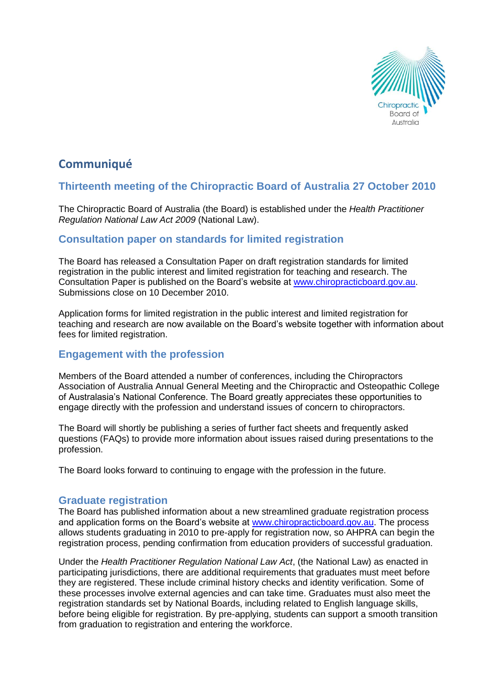

# **Communiqué**

### **Thirteenth meeting of the Chiropractic Board of Australia 27 October 2010**

The Chiropractic Board of Australia (the Board) is established under the *Health Practitioner Regulation National Law Act 2009* (National Law).

### **Consultation paper on standards for limited registration**

The Board has released a Consultation Paper on draft registration standards for limited registration in the public interest and limited registration for teaching and research. The Consultation Paper is published on the Board's website at [www.chiropracticboard.gov.au.](http://www.chiropracticboard.gov.au/) Submissions close on 10 December 2010.

Application forms for limited registration in the public interest and limited registration for teaching and research are now available on the Board's website together with information about fees for limited registration.

### **Engagement with the profession**

Members of the Board attended a number of conferences, including the Chiropractors Association of Australia Annual General Meeting and the Chiropractic and Osteopathic College of Australasia's National Conference. The Board greatly appreciates these opportunities to engage directly with the profession and understand issues of concern to chiropractors.

The Board will shortly be publishing a series of further fact sheets and frequently asked questions (FAQs) to provide more information about issues raised during presentations to the profession.

The Board looks forward to continuing to engage with the profession in the future.

### **Graduate registration**

The Board has published information about a new streamlined graduate registration process and application forms on the Board's website at [www.chiropracticboard.gov.au.](http://www.chiropracticboard.gov.au/) The process allows students graduating in 2010 to pre-apply for registration now, so AHPRA can begin the registration process, pending confirmation from education providers of successful graduation.

Under the *Health Practitioner Regulation National Law Act*, (the National Law) as enacted in participating jurisdictions, there are additional requirements that graduates must meet before they are registered. These include criminal history checks and identity verification. Some of these processes involve external agencies and can take time. Graduates must also meet the registration standards set by National Boards, including related to English language skills, before being eligible for registration. By pre-applying, students can support a smooth transition from graduation to registration and entering the workforce.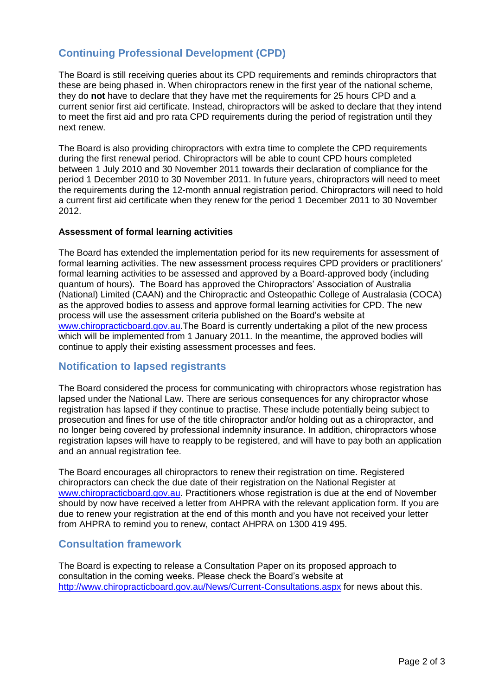## **Continuing Professional Development (CPD)**

The Board is still receiving queries about its CPD requirements and reminds chiropractors that these are being phased in. When chiropractors renew in the first year of the national scheme, they do **not** have to declare that they have met the requirements for 25 hours CPD and a current senior first aid certificate. Instead, chiropractors will be asked to declare that they intend to meet the first aid and pro rata CPD requirements during the period of registration until they next renew.

The Board is also providing chiropractors with extra time to complete the CPD requirements during the first renewal period. Chiropractors will be able to count CPD hours completed between 1 July 2010 and 30 November 2011 towards their declaration of compliance for the period 1 December 2010 to 30 November 2011. In future years, chiropractors will need to meet the requirements during the 12-month annual registration period. Chiropractors will need to hold a current first aid certificate when they renew for the period 1 December 2011 to 30 November 2012.

#### **Assessment of formal learning activities**

The Board has extended the implementation period for its new requirements for assessment of formal learning activities. The new assessment process requires CPD providers or practitioners' formal learning activities to be assessed and approved by a Board-approved body (including quantum of hours). The Board has approved the Chiropractors' Association of Australia (National) Limited (CAAN) and the Chiropractic and Osteopathic College of Australasia (COCA) as the approved bodies to assess and approve formal learning activities for CPD. The new process will use the assessment criteria published on the Board's website at [www.chiropracticboard.gov.au.](http://www.chiropracticboard.gov.au/)The Board is currently undertaking a pilot of the new process which will be implemented from 1 January 2011. In the meantime, the approved bodies will continue to apply their existing assessment processes and fees.

### **Notification to lapsed registrants**

The Board considered the process for communicating with chiropractors whose registration has lapsed under the National Law. There are serious consequences for any chiropractor whose registration has lapsed if they continue to practise. These include potentially being subject to prosecution and fines for use of the title chiropractor and/or holding out as a chiropractor, and no longer being covered by professional indemnity insurance. In addition, chiropractors whose registration lapses will have to reapply to be registered, and will have to pay both an application and an annual registration fee.

The Board encourages all chiropractors to renew their registration on time. Registered chiropractors can check the due date of their registration on the National Register at [www.chiropracticboard.gov.au.](http://www.chiropracticboard.gov.au/) Practitioners whose registration is due at the end of November should by now have received a letter from AHPRA with the relevant application form. If you are due to renew your registration at the end of this month and you have not received your letter from AHPRA to remind you to renew, contact AHPRA on 1300 419 495.

### **Consultation framework**

The Board is expecting to release a Consultation Paper on its proposed approach to consultation in the coming weeks. Please check the Board's website at <http://www.chiropracticboard.gov.au/News/Current-Consultations.aspx> for news about this.